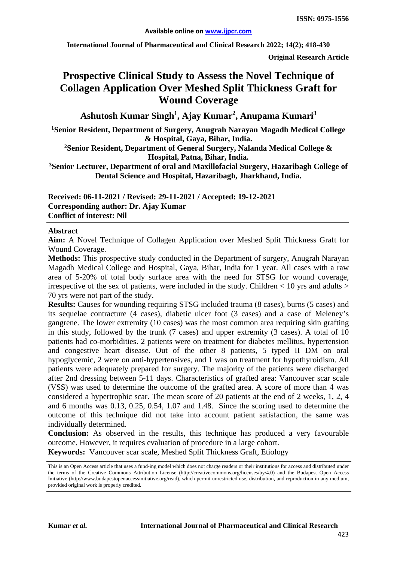**International Journal of Pharmaceutical and Clinical Research 2022; 14(2); 418-430**

**Original Research Article**

# **Prospective Clinical Study to Assess the Novel Technique of Collagen Application Over Meshed Split Thickness Graft for Wound Coverage**

**Ashutosh Kumar Singh1 , Ajay Kumar2 , Anupama Kumari<sup>3</sup>**

**1 Senior Resident, Department of Surgery, Anugrah Narayan Magadh Medical College & Hospital, Gaya, Bihar, India.**

**2Senior Resident, Department of General Surgery, Nalanda Medical College & Hospital, Patna, Bihar, India.**

**3Senior Lecturer, Department of oral and Maxillofacial Surgery, Hazaribagh College of Dental Science and Hospital, Hazaribagh, Jharkhand, India.**

**Received: 06-11-2021 / Revised: 29-11-2021 / Accepted: 19-12-2021 Corresponding author: Dr. Ajay Kumar Conflict of interest: Nil**

#### **Abstract**

**Aim:** A Novel Technique of Collagen Application over Meshed Split Thickness Graft for Wound Coverage.

**Methods:** This prospective study conducted in the Department of surgery, Anugrah Narayan Magadh Medical College and Hospital, Gaya, Bihar, India for 1 year. All cases with a raw area of 5-20% of total body surface area with the need for STSG for wound coverage, irrespective of the sex of patients, were included in the study. Children  $< 10$  yrs and adults  $>$ 70 yrs were not part of the study.

**Results:** Causes for wounding requiring STSG included trauma (8 cases), burns (5 cases) and its sequelae contracture (4 cases), diabetic ulcer foot (3 cases) and a case of Meleney's gangrene. The lower extremity (10 cases) was the most common area requiring skin grafting in this study, followed by the trunk (7 cases) and upper extremity (3 cases). A total of 10 patients had co-morbidities. 2 patients were on treatment for diabetes mellitus, hypertension and congestive heart disease. Out of the other 8 patients, 5 typed II DM on oral hypoglycemic, 2 were on anti-hypertensives, and 1 was on treatment for hypothyroidism. All patients were adequately prepared for surgery. The majority of the patients were discharged after 2nd dressing between 5-11 days. Characteristics of grafted area: Vancouver scar scale (VSS) was used to determine the outcome of the grafted area. A score of more than 4 was considered a hypertrophic scar. The mean score of 20 patients at the end of 2 weeks, 1, 2, 4 and 6 months was 0.13, 0.25, 0.54, 1.07 and 1.48. Since the scoring used to determine the outcome of this technique did not take into account patient satisfaction, the same was individually determined.

**Conclusion:** As observed in the results, this technique has produced a very favourable outcome. However, it requires evaluation of procedure in a large cohort. **Keywords:** Vancouver scar scale, Meshed Split Thickness Graft, Etiology

This is an Open Access article that uses a fund-ing model which does not charge readers or their institutions for access and distributed under the terms of the Creative Commons Attribution License (http://creativecommons.org/licenses/by/4.0) and the Budapest Open Access Initiative (http://www.budapestopenaccessinitiative.org/read), which permit unrestricted use, distribution, and reproduction in any medium, provided original work is properly credited.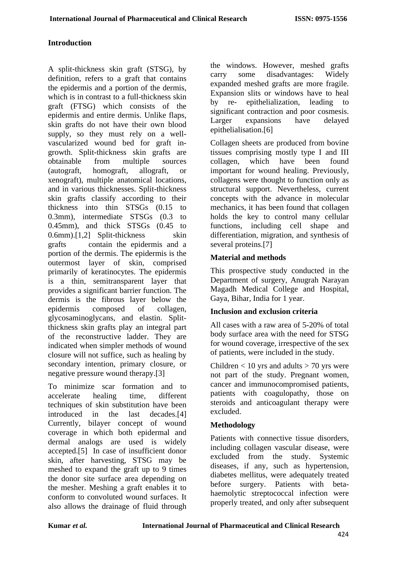### **Introduction**

A split-thickness skin graft (STSG), by definition, refers to a graft that contains the epidermis and a portion of the dermis, which is in contrast to a full-thickness skin graft (FTSG) which consists of the epidermis and entire dermis. Unlike flaps, skin grafts do not have their own blood supply, so they must rely on a wellvascularized wound bed for graft ingrowth. Split-thickness skin grafts are obtainable from multiple sources (autograft, homograft, allograft, or xenograft), multiple anatomical locations, and in various thicknesses. Split-thickness skin grafts classify according to their thickness into thin STSGs (0.15 to 0.3mm), intermediate STSGs (0.3 to 0.45mm), and thick STSGs (0.45 to 0.6mm).<sup>[1,2]</sup> Split-thickness skin grafts contain the epidermis and a portion of the dermis. The epidermis is the outermost layer of skin, comprised primarily of keratinocytes. The epidermis is a thin, semitransparent layer that provides a significant barrier function. The dermis is the fibrous layer below the epidermis composed of collagen, glycosaminoglycans, and elastin. Splitthickness skin grafts play an integral part of the reconstructive ladder. They are indicated when simpler methods of wound closure will not suffice, such as healing by secondary intention, primary closure, or negative pressure wound therapy.[3]

To minimize scar formation and to accelerate healing time, different techniques of skin substitution have been introduced in the last decades.[4] Currently, bilayer concept of wound coverage in which both epidermal and dermal analogs are used is widely accepted.[5] In case of insufficient donor skin, after harvesting, STSG may be meshed to expand the graft up to 9 times the donor site surface area depending on the mesher. Meshing a graft enables it to conform to convoluted wound surfaces. It also allows the drainage of fluid through the windows. However, meshed grafts carry some disadvantages: Widely expanded meshed grafts are more fragile. Expansion slits or windows have to heal by re- epithelialization, leading to significant contraction and poor cosmesis. Larger expansions have delayed epithelialisation.[6]

Collagen sheets are produced from bovine tissues comprising mostly type I and III collagen, which have been found important for wound healing. Previously, collagens were thought to function only as structural support. Nevertheless, current concepts with the advance in molecular mechanics, it has been found that collagen holds the key to control many cellular functions, including cell shape and differentiation, migration, and synthesis of several proteins.[7]

# **Material and methods**

This prospective study conducted in the Department of surgery, Anugrah Narayan Magadh Medical College and Hospital, Gaya, Bihar, India for 1 year.

### **Inclusion and exclusion criteria**

All cases with a raw area of 5-20% of total body surface area with the need for STSG for wound coverage, irrespective of the sex of patients, were included in the study.

Children  $< 10$  yrs and adults  $> 70$  yrs were not part of the study. Pregnant women, cancer and immunocompromised patients, patients with coagulopathy, those on steroids and anticoagulant therapy were excluded.

# **Methodology**

Patients with connective tissue disorders, including collagen vascular disease, were excluded from the study. Systemic diseases, if any, such as hypertension, diabetes mellitus, were adequately treated before surgery. Patients with betahaemolytic streptococcal infection were properly treated, and only after subsequent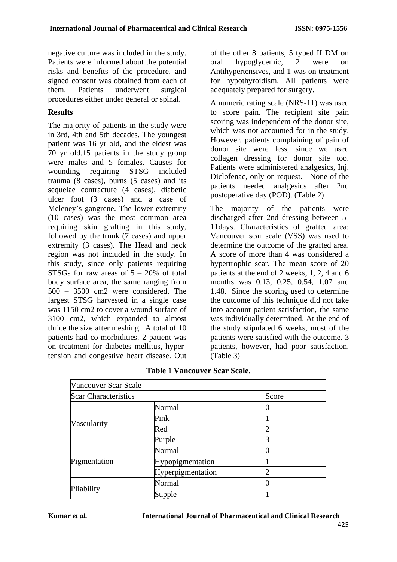negative culture was included in the study. Patients were informed about the potential risks and benefits of the procedure, and signed consent was obtained from each of them. Patients underwent surgical procedures either under general or spinal.

# **Results**

The majority of patients in the study were in 3rd, 4th and 5th decades. The youngest patient was 16 yr old, and the eldest was 70 yr old.15 patients in the study group were males and 5 females. Causes for wounding requiring STSG included trauma (8 cases), burns (5 cases) and its sequelae contracture (4 cases), diabetic ulcer foot (3 cases) and a case of Meleney's gangrene. The lower extremity (10 cases) was the most common area requiring skin grafting in this study, followed by the trunk (7 cases) and upper extremity (3 cases). The Head and neck region was not included in the study. In this study, since only patients requiring STSGs for raw areas of  $5 - 20\%$  of total body surface area, the same ranging from 500 – 3500 cm2 were considered. The largest STSG harvested in a single case was 1150 cm2 to cover a wound surface of 3100 cm2, which expanded to almost thrice the size after meshing. A total of 10 patients had co-morbidities. 2 patient was on treatment for diabetes mellitus, hypertension and congestive heart disease. Out of the other 8 patients, 5 typed II DM on oral hypoglycemic, 2 were on Antihypertensives, and 1 was on treatment for hypothyroidism. All patients were adequately prepared for surgery.

A numeric rating scale (NRS-11) was used to score pain. The recipient site pain scoring was independent of the donor site, which was not accounted for in the study. However, patients complaining of pain of donor site were less, since we used collagen dressing for donor site too. Patients were administered analgesics, Inj. Diclofenac, only on request. None of the patients needed analgesics after 2nd postoperative day (POD). (Table 2)

The majority of the patients were discharged after 2nd dressing between 5- 11days. Characteristics of grafted area: Vancouver scar scale (VSS) was used to determine the outcome of the grafted area. A score of more than 4 was considered a hypertrophic scar. The mean score of 20 patients at the end of 2 weeks, 1, 2, 4 and 6 months was 0.13, 0.25, 0.54, 1.07 and 1.48. Since the scoring used to determine the outcome of this technique did not take into account patient satisfaction, the same was individually determined. At the end of the study stipulated 6 weeks, most of the patients were satisfied with the outcome. 3 patients, however, had poor satisfaction. (Table 3)

| <b>Vancouver Scar Scale</b> |                   |  |
|-----------------------------|-------------------|--|
| <b>Scar Characteristics</b> | Score             |  |
| Vascularity                 | Normal            |  |
|                             | Pink              |  |
|                             | Red               |  |
|                             | Purple            |  |
|                             | Normal            |  |
| Pigmentation                | Hypopigmentation  |  |
|                             | Hyperpigmentation |  |
| Pliability                  | Normal            |  |
|                             | Supple            |  |

**Table 1 Vancouver Scar Scale.**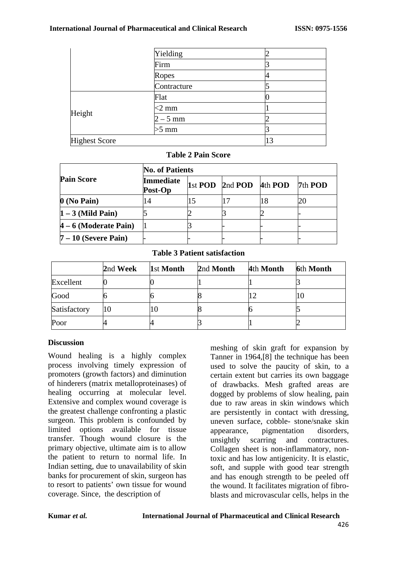#### **International Journal of Pharmaceutical and Clinical Research ISSN: 0975-1556**

|                      | Yielding    |    |
|----------------------|-------------|----|
|                      | Firm        |    |
|                      | Ropes       |    |
|                      | Contracture |    |
| Height               | Flat        |    |
|                      | $<$ 2 mm    |    |
|                      | $2-5$ mm    |    |
|                      | $>5$ mm     |    |
| <b>Highest Score</b> |             | 13 |

### **Table 2 Pain Score**

| <b>Pain Score</b>      | <b>No. of Patients</b> |  |                         |  |         |
|------------------------|------------------------|--|-------------------------|--|---------|
|                        | Immediate<br>Post-Op   |  | 1st POD 2nd POD 4th POD |  | 7th POD |
| $0$ (No Pain)          | $\overline{4}$         |  |                         |  |         |
| $1 - 3$ (Mild Pain)    |                        |  |                         |  |         |
| $4-6$ (Moderate Pain)  |                        |  |                         |  |         |
| $7 - 10$ (Severe Pain) |                        |  |                         |  |         |

# **Table 3 Patient satisfaction**

|              | 2nd Week | 1st Month | 2nd Month | 4th Month | <b>6th Month</b> |
|--------------|----------|-----------|-----------|-----------|------------------|
| Excellent    |          |           |           |           |                  |
| Good         |          |           |           |           |                  |
| Satisfactory | 10       | ΙU        |           |           |                  |
| Poor         |          |           |           |           |                  |

### **Discussion**

Wound healing is a highly complex process involving timely expression of promoters (growth factors) and diminution of hinderers (matrix metalloproteinases) of healing occurring at molecular level. Extensive and complex wound coverage is the greatest challenge confronting a plastic surgeon. This problem is confounded by limited options available for tissue transfer. Though wound closure is the primary objective, ultimate aim is to allow the patient to return to normal life. In Indian setting, due to unavailability of skin banks for procurement of skin, surgeon has to resort to patients' own tissue for wound coverage. Since, the description of

meshing of skin graft for expansion by Tanner in 1964,[8] the technique has been used to solve the paucity of skin, to a certain extent but carries its own baggage of drawbacks. Mesh grafted areas are dogged by problems of slow healing, pain due to raw areas in skin windows which are persistently in contact with dressing, uneven surface, cobble- stone/snake skin appearance, pigmentation disorders, unsightly scarring and contractures. Collagen sheet is non-inflammatory, nontoxic and has low antigenicity. It is elastic, soft, and supple with good tear strength and has enough strength to be peeled off the wound. It facilitates migration of fibroblasts and microvascular cells, helps in the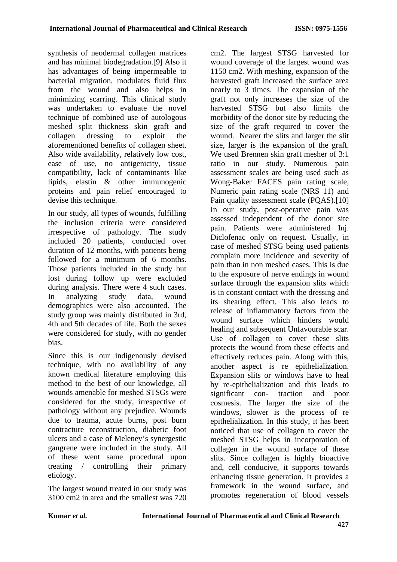synthesis of neodermal collagen matrices and has minimal biodegradation.[9] Also it has advantages of being impermeable to bacterial migration, modulates fluid flux from the wound and also helps in minimizing scarring. This clinical study was undertaken to evaluate the novel technique of combined use of autologous meshed split thickness skin graft and collagen dressing to exploit the aforementioned benefits of collagen sheet. Also wide availability, relatively low cost, ease of use, no antigenicity, tissue compatibility, lack of contaminants like lipids, elastin & other immunogenic proteins and pain relief encouraged to devise this technique.

In our study, all types of wounds, fulfilling the inclusion criteria were considered irrespective of pathology. The study included 20 patients, conducted over duration of 12 months, with patients being followed for a minimum of 6 months. Those patients included in the study but lost during follow up were excluded during analysis. There were 4 such cases. In analyzing study data, wound demographics were also accounted. The study group was mainly distributed in 3rd, 4th and 5th decades of life. Both the sexes were considered for study, with no gender bias.

Since this is our indigenously devised technique, with no availability of any known medical literature employing this method to the best of our knowledge, all wounds amenable for meshed STSGs were considered for the study, irrespective of pathology without any prejudice. Wounds due to trauma, acute burns, post burn contracture reconstruction, diabetic foot ulcers and a case of Meleney's synergestic gangrene were included in the study. All of these went same procedural upon treating / controlling their primary etiology.

The largest wound treated in our study was 3100 cm2 in area and the smallest was 720 cm2. The largest STSG harvested for wound coverage of the largest wound was 1150 cm2. With meshing, expansion of the harvested graft increased the surface area nearly to 3 times. The expansion of the graft not only increases the size of the harvested STSG but also limits the morbidity of the donor site by reducing the size of the graft required to cover the wound. Nearer the slits and larger the slit size, larger is the expansion of the graft. We used Brennen skin graft mesher of 3:1 ratio in our study. Numerous pain assessment scales are being used such as Wong-Baker FACES pain rating scale, Numeric pain rating scale (NRS 11) and Pain quality assessment scale (PQAS).[10] In our study, post-operative pain was assessed independent of the donor site pain. Patients were administered Inj. Diclofenac only on request. Usually, in case of meshed STSG being used patients complain more incidence and severity of pain than in non meshed cases. This is due to the exposure of nerve endings in wound surface through the expansion slits which is in constant contact with the dressing and its shearing effect. This also leads to release of inflammatory factors from the wound surface which hinders would healing and subsequent Unfavourable scar. Use of collagen to cover these slits protects the wound from these effects and effectively reduces pain. Along with this, another aspect is re epithelialization. Expansion slits or windows have to heal by re-epithelialization and this leads to significant con- traction and poor cosmesis. The larger the size of the windows, slower is the process of re epithelialization. In this study, it has been noticed that use of collagen to cover the meshed STSG helps in incorporation of collagen in the wound surface of these slits. Since collagen is highly bioactive and, cell conducive, it supports towards enhancing tissue generation. It provides a framework in the wound surface, and promotes regeneration of blood vessels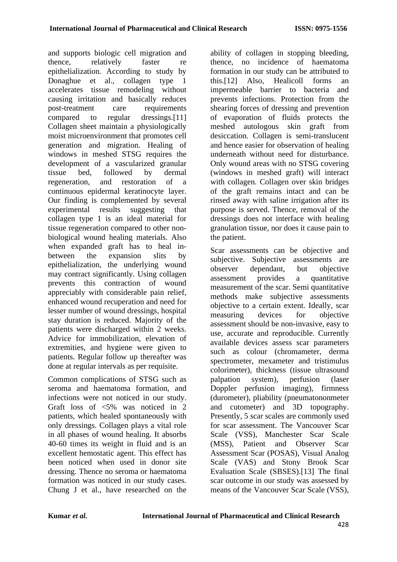and supports biologic cell migration and thence, relatively faster re epithelialization. According to study by Donaghue et al., collagen type 1 accelerates tissue remodeling without causing irritation and basically reduces post-treatment care requirements compared to regular dressings.[11] Collagen sheet maintain a physiologically moist microenvironment that promotes cell generation and migration. Healing of windows in meshed STSG requires the development of a vascularized granular tissue bed, followed by dermal regeneration, and restoration of a continuous epidermal keratinocyte layer. Our finding is complemented by several experimental results suggesting that collagen type 1 is an ideal material for tissue regeneration compared to other nonbiological wound healing materials. Also when expanded graft has to heal inbetween the expansion slits by epithelialization, the underlying wound may contract significantly. Using collagen prevents this contraction of wound appreciably with considerable pain relief, enhanced wound recuperation and need for lesser number of wound dressings, hospital stay duration is reduced. Majority of the patients were discharged within 2 weeks. Advice for immobilization, elevation of extremities, and hygiene were given to patients. Regular follow up thereafter was done at regular intervals as per requisite.

Common complications of STSG such as seroma and haematoma formation, and infections were not noticed in our study. Graft loss of <5% was noticed in 2 patients, which healed spontaneously with only dressings. Collagen plays a vital role in all phases of wound healing. It absorbs 40-60 times its weight in fluid and is an excellent hemostatic agent. This effect has been noticed when used in donor site dressing. Thence no seroma or haematoma formation was noticed in our study cases. Chung J et al., have researched on the ability of collagen in stopping bleeding, thence, no incidence of haematoma formation in our study can be attributed to this.[12] Also, Healicoll forms an impermeable barrier to bacteria and prevents infections. Protection from the shearing forces of dressing and prevention of evaporation of fluids protects the meshed autologous skin graft from desiccation. Collagen is semi-translucent and hence easier for observation of healing underneath without need for disturbance. Only wound areas with no STSG covering (windows in meshed graft) will interact with collagen. Collagen over skin bridges of the graft remains intact and can be rinsed away with saline irrigation after its purpose is served. Thence, removal of the dressings does not interface with healing granulation tissue, nor does it cause pain to the patient.

Scar assessments can be objective and subjective. Subjective assessments are observer dependant, but objective assessment provides a quantitative measurement of the scar. Semi quantitative methods make subjective assessments objective to a certain extent. Ideally, scar measuring devices for objective assessment should be non-invasive, easy to use, accurate and reproducible. Currently available devices assess scar parameters such as colour (chromameter, derma spectrometer, mexameter and tristimulus colorimeter), thickness (tissue ultrasound palpation system), perfusion (laser Doppler perfusion imaging), firmness (durometer), pliability (pneumatononmeter and cutometer) and 3D topography. Presently, 5 scar scales are commonly used for scar assessment. The Vancouver Scar Scale (VSS), Manchester Scar Scale (MSS), Patient and Observer Scar Assessment Scar (POSAS), Visual Analog Scale (VAS) and Stony Brook Scar Evaluation Scale (SBSES).[13] The final scar outcome in our study was assessed by means of the Vancouver Scar Scale (VSS),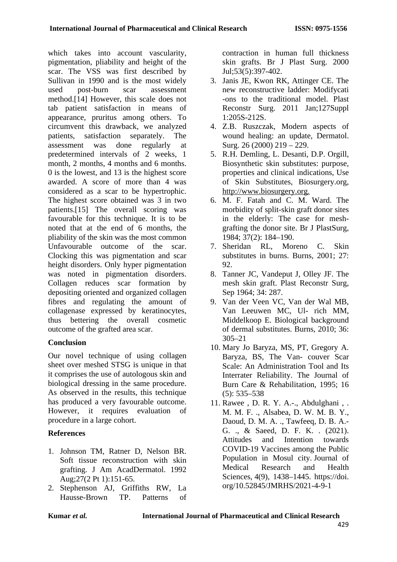which takes into account vascularity, pigmentation, pliability and height of the scar. The VSS was first described by Sullivan in 1990 and is the most widely used post-burn scar assessment method.[14] However, this scale does not tab patient satisfaction in means of appearance, pruritus among others. To circumvent this drawback, we analyzed patients, satisfaction separately. The assessment was done regularly at predetermined intervals of 2 weeks, 1 month, 2 months, 4 months and 6 months. 0 is the lowest, and 13 is the highest score awarded. A score of more than 4 was considered as a scar to be hypertrophic. The highest score obtained was 3 in two patients.[15] The overall scoring was favourable for this technique. It is to be noted that at the end of 6 months, the pliability of the skin was the most common Unfavourable outcome of the scar. Clocking this was pigmentation and scar height disorders. Only hyper pigmentation was noted in pigmentation disorders. Collagen reduces scar formation by depositing oriented and organized collagen fibres and regulating the amount of collagenase expressed by keratinocytes, thus bettering the overall cosmetic outcome of the grafted area scar.

# **Conclusion**

Our novel technique of using collagen sheet over meshed STSG is unique in that it comprises the use of autologous skin and biological dressing in the same procedure. As observed in the results, this technique has produced a very favourable outcome. However, it requires evaluation of procedure in a large cohort.

# **References**

- 1. Johnson TM, Ratner D, Nelson BR. Soft tissue reconstruction with skin grafting. J Am AcadDermatol. 1992 Aug;27(2 Pt 1):151-65.
- 2. Stephenson AJ, Griffiths RW, La Hausse-Brown TP. Patterns of

contraction in human full thickness skin grafts. Br J Plast Surg. 2000 Jul;53(5):397-402.

- 3. Janis JE, Kwon RK, Attinger CE. The new reconstructive ladder: Modifycati -ons to the traditional model. Plast Reconstr Surg. 2011 Jan;127Suppl 1:205S-212S.
- 4. Z.B. Ruszczak, Modern aspects of wound healing: an update, Dermatol. Surg. 26 (2000) 219 – 229.
- 5. R.H. Demling, L. Desanti, D.P. Orgill, Biosynthetic skin substitutes: purpose, properties and clinical indications, Use of Skin Substitutes, Biosurgery.org, [http://www.biosurgery.org.](http://www.biosurgery.org/)
- 6. M. F. Fatah and C. M. Ward. The morbidity of split-skin graft donor sites in the elderly: The case for meshgrafting the donor site. Br J PlastSurg, 1984; 37(2): 184–190.
- 7. Sheridan RL, Moreno C. Skin substitutes in burns. Burns, 2001; 27:  $92.$
- 8. Tanner JC, Vandeput J, Olley JF. The mesh skin graft. Plast Reconstr Surg, Sep 1964; 34: 287.
- 9. Van der Veen VC, Van der Wal MB, Van Leeuwen MC, Ul- rich MM, Middelkoop E. Biological background of dermal substitutes. Burns, 2010; 36: 305–21
- 10. Mary Jo Baryza, MS, PT, Gregory A. Baryza, BS, The Van- couver Scar Scale: An Administration Tool and Its Interrater Reliability. The Journal of Burn Care & Rehabilitation, 1995; 16 (5): 535–538
- 11. Rawee , D. R. Y. A.-., Abdulghani , . M. M. F. ., Alsabea, D. W. M. B. Y., Daoud, D. M. A. ., Tawfeeq, D. B. A.- G. ., & Saeed, D. F. K. . (2021). Attitudes and Intention towards COVID-19 Vaccines among the Public Population in Mosul city. Journal of Medical Research and Health Sciences, 4(9), 1438–1445. https://doi. org/10.52845/JMRHS/2021-4-9-1